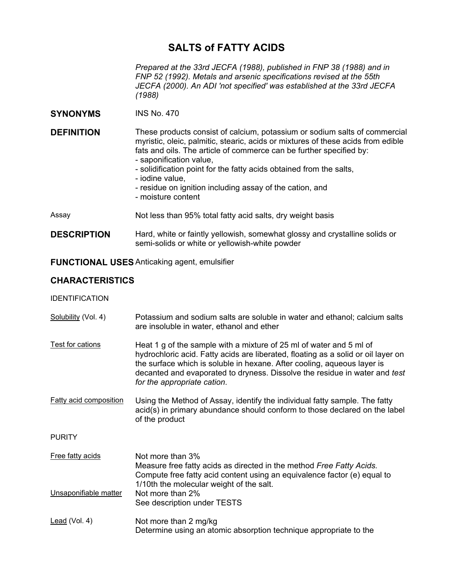# **SALTS of FATTY ACIDS**

*Prepared at the 33rd JECFA (1988), published in FNP 38 (1988) and in FNP 52 (1992). Metals and arsenic specifications revised at the 55th JECFA (2000). An ADI 'not specified' was established at the 33rd JECFA (1988)* 

**SYNONYMS** INS No. 470

**DEFINITION** These products consist of calcium, potassium or sodium salts of commercial myristic, oleic, palmitic, stearic, acids or mixtures of these acids from edible fats and oils. The article of commerce can be further specified by:

- saponification value,
- solidification point for the fatty acids obtained from the salts,
- iodine value,
- residue on ignition including assay of the cation, and
- moisture content
- Assay **Not less than 95% total fatty acid salts, dry weight basis**
- **DESCRIPTION** Hard, white or faintly yellowish, somewhat glossy and crystalline solids or semi-solids or white or yellowish-white powder

# **FUNCTIONAL USES** Anticaking agent, emulsifier

# **CHARACTERISTICS**

# IDENTIFICATION

Solubility (Vol. 4) Potassium and sodium salts are soluble in water and ethanol; calcium salts are insoluble in water, ethanol and ether Test for cations Heat 1 g of the sample with a mixture of 25 ml of water and 5 ml of hydrochloric acid. Fatty acids are liberated, floating as a solid or oil layer on the surface which is soluble in hexane. After cooling, aqueous layer is decanted and evaporated to dryness. Dissolve the residue in water and *test for the appropriate cation*.

Fatty acid composition Using the Method of Assay, identify the individual fatty sample. The fatty acid(s) in primary abundance should conform to those declared on the label of the product

- PURITY
- Free fatty acids Not more than 3% Measure free fatty acids as directed in the method *Free Fatty Acids.*  Compute free fatty acid content using an equivalence factor (e) equal to 1/10th the molecular weight of the salt. Unsaponifiable matter Not more than 2% See description under TESTS
- Lead (Vol. 4) Not more than 2 mg/kg Determine using an atomic absorption technique appropriate to the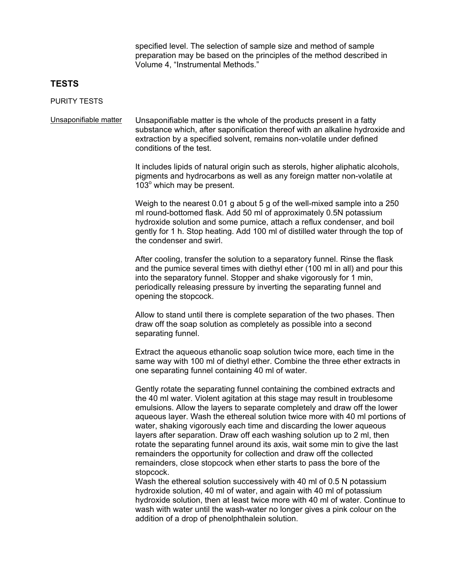specified level. The selection of sample size and method of sample preparation may be based on the principles of the method described in Volume 4, "Instrumental Methods."

# **TESTS**

#### PURITY TESTS

Unsaponifiable matter Unsaponifiable matter is the whole of the products present in a fatty substance which, after saponification thereof with an alkaline hydroxide and extraction by a specified solvent, remains non-volatile under defined conditions of the test.

> It includes lipids of natural origin such as sterols, higher aliphatic alcohols, pigments and hydrocarbons as well as any foreign matter non-volatile at 103° which may be present.

Weigh to the nearest 0.01 g about 5 g of the well-mixed sample into a 250 ml round-bottomed flask. Add 50 ml of approximately 0.5N potassium hydroxide solution and some pumice, attach a reflux condenser, and boil gently for 1 h. Stop heating. Add 100 ml of distilled water through the top of the condenser and swirl.

After cooling, transfer the solution to a separatory funnel. Rinse the flask and the pumice several times with diethyl ether (100 ml in all) and pour this into the separatory funnel. Stopper and shake vigorously for 1 min, periodically releasing pressure by inverting the separating funnel and opening the stopcock.

Allow to stand until there is complete separation of the two phases. Then draw off the soap solution as completely as possible into a second separating funnel.

Extract the aqueous ethanolic soap solution twice more, each time in the same way with 100 ml of diethyl ether. Combine the three ether extracts in one separating funnel containing 40 ml of water.

Gently rotate the separating funnel containing the combined extracts and the 40 ml water. Violent agitation at this stage may result in troublesome emulsions. Allow the layers to separate completely and draw off the lower aqueous layer. Wash the ethereal solution twice more with 40 ml portions of water, shaking vigorously each time and discarding the lower aqueous layers after separation. Draw off each washing solution up to 2 ml, then rotate the separating funnel around its axis, wait some min to give the last remainders the opportunity for collection and draw off the collected remainders, close stopcock when ether starts to pass the bore of the stopcock.

Wash the ethereal solution successively with 40 ml of 0.5 N potassium hydroxide solution, 40 ml of water, and again with 40 ml of potassium hydroxide solution, then at least twice more with 40 ml of water. Continue to wash with water until the wash-water no longer gives a pink colour on the addition of a drop of phenolphthalein solution.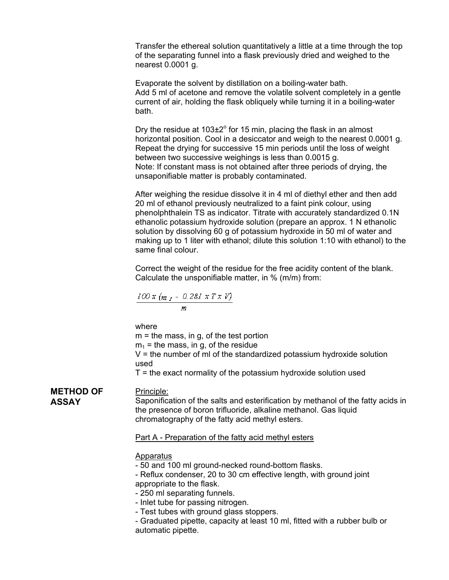Transfer the ethereal solution quantitatively a little at a time through the top of the separating funnel into a flask previously dried and weighed to the nearest 0.0001 g.

Evaporate the solvent by distillation on a boiling-water bath. Add 5 ml of acetone and remove the volatile solvent completely in a gentle current of air, holding the flask obliquely while turning it in a boiling-water bath.

Dry the residue at  $103\pm2^{\circ}$  for 15 min, placing the flask in an almost horizontal position. Cool in a desiccator and weigh to the nearest 0.0001 g. Repeat the drying for successive 15 min periods until the loss of weight between two successive weighings is less than 0.0015 g. Note: If constant mass is not obtained after three periods of drying, the unsaponifiable matter is probably contaminated.

After weighing the residue dissolve it in 4 ml of diethyl ether and then add 20 ml of ethanol previously neutralized to a faint pink colour, using phenolphthalein TS as indicator. Titrate with accurately standardized 0.1N ethanolic potassium hydroxide solution (prepare an approx. 1 N ethanolic solution by dissolving 60 g of potassium hydroxide in 50 ml of water and making up to 1 liter with ethanol; dilute this solution 1:10 with ethanol) to the same final colour.

Correct the weight of the residue for the free acidity content of the blank. Calculate the unsponifiable matter, in % (m/m) from:

$$
\frac{100 x (m_I - 0.281 x T x V)}{m}
$$

where

 $m =$  the mass, in q, of the test portion  $m_1$  = the mass, in g, of the residue  $V =$  the number of ml of the standardized potassium hydroxide solution used

 $T =$  the exact normality of the potassium hydroxide solution used

# **METHOD OF ASSAY**

Saponification of the salts and esterification by methanol of the fatty acids in the presence of boron trifluoride, alkaline methanol. Gas liquid chromatography of the fatty acid methyl esters.

# Part A - Preparation of the fatty acid methyl esters

# **Apparatus**

Principle:

- 50 and 100 ml ground-necked round-bottom flasks.
- Reflux condenser, 20 to 30 cm effective length, with ground joint appropriate to the flask.
- 250 ml separating funnels.
- Inlet tube for passing nitrogen.
- Test tubes with ground glass stoppers.
- Graduated pipette, capacity at least 10 ml, fitted with a rubber bulb or automatic pipette.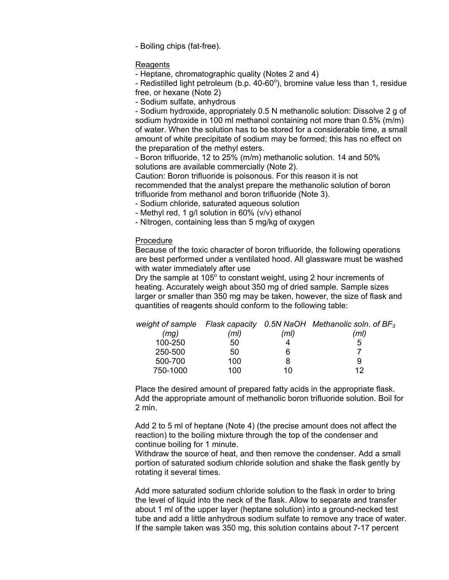- Boiling chips (fat-free).

### Reagents

- Heptane, chromatographic quality (Notes 2 and 4)

- Redistilled light petroleum (b.p.  $40-60^{\circ}$ ), bromine value less than 1, residue free, or hexane (Note 2)

- Sodium sulfate, anhydrous

- Sodium hydroxide, appropriately 0.5 N methanolic solution: Dissolve 2 g of sodium hydroxide in 100 ml methanol containing not more than 0.5% (m/m) of water. When the solution has to be stored for a considerable time, a small amount of white precipitate of sodium may be formed; this has no effect on the preparation of the methyl esters.

- Boron trifluoride, 12 to 25% (m/m) methanolic solution. 14 and 50% solutions are available commercially (Note 2).

Caution: Boron trifluoride is poisonous. For this reason it is not recommended that the analyst prepare the methanolic solution of boron trifluoride from methanol and boron trifluoride (Note 3).

- Sodium chloride, saturated aqueous solution

- Methyl red, 1 g/l solution in 60% (v/v) ethanol

- Nitrogen, containing less than 5 mg/kg of oxygen

### Procedure

Because of the toxic character of boron trifluoride, the following operations are best performed under a ventilated hood. All glassware must be washed with water immediately after use

Dry the sample at 105 $^{\circ}$  to constant weight, using 2 hour increments of heating. Accurately weigh about 350 mg of dried sample. Sample sizes larger or smaller than 350 mg may be taken, however, the size of flask and quantities of reagents should conform to the following table:

|          |      |      | weight of sample Flask capacity 0.5N NaOH Methanolic soln. of $BF_3$ |
|----------|------|------|----------------------------------------------------------------------|
| (mg)     | (ml) | (ml) | (ml)                                                                 |
| 100-250  | 50   |      | 5                                                                    |
| 250-500  | 50   | 6    |                                                                      |
| 500-700  | 100  |      | 9                                                                    |
| 750-1000 | 100  | 10   | イク                                                                   |

Place the desired amount of prepared fatty acids in the appropriate flask. Add the appropriate amount of methanolic boron trifluoride solution. Boil for 2 min.

Add 2 to 5 ml of heptane (Note 4) (the precise amount does not affect the reaction) to the boiling mixture through the top of the condenser and continue boiling for 1 minute.

Withdraw the source of heat, and then remove the condenser. Add a small portion of saturated sodium chloride solution and shake the flask gently by rotating it several times.

Add more saturated sodium chloride solution to the flask in order to bring the level of liquid into the neck of the flask. Allow to separate and transfer about 1 ml of the upper layer (heptane solution) into a ground-necked test tube and add a little anhydrous sodium sulfate to remove any trace of water. If the sample taken was 350 mg, this solution contains about 7-17 percent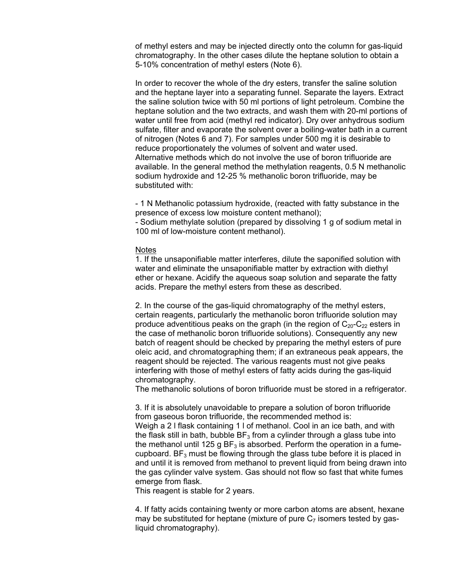of methyl esters and may be injected directly onto the column for gas-liquid chromatography. In the other cases dilute the heptane solution to obtain a 5-10% concentration of methyl esters (Note 6).

In order to recover the whole of the dry esters, transfer the saline solution and the heptane layer into a separating funnel. Separate the layers. Extract the saline solution twice with 50 ml portions of light petroleum. Combine the heptane solution and the two extracts, and wash them with 20-ml portions of water until free from acid (methyl red indicator). Dry over anhydrous sodium sulfate, filter and evaporate the solvent over a boiling-water bath in a current of nitrogen (Notes 6 and 7). For samples under 500 mg it is desirable to reduce proportionately the volumes of solvent and water used. Alternative methods which do not involve the use of boron trifluoride are available. In the general method the methylation reagents, 0.5 N methanolic sodium hydroxide and 12-25 % methanolic boron trifluoride, may be substituted with:

- 1 N Methanolic potassium hydroxide, (reacted with fatty substance in the presence of excess low moisture content methanol);

- Sodium methylate solution (prepared by dissolving 1 g of sodium metal in 100 ml of low-moisture content methanol).

#### **Notes**

1. If the unsaponifiable matter interferes, dilute the saponified solution with water and eliminate the unsaponifiable matter by extraction with diethyl ether or hexane. Acidify the aqueous soap solution and separate the fatty acids. Prepare the methyl esters from these as described.

2. In the course of the gas-liquid chromatography of the methyl esters, certain reagents, particularly the methanolic boron trifluoride solution may produce adventitious peaks on the graph (in the region of  $C_{20}$ - $C_{22}$  esters in the case of methanolic boron trifluoride solutions). Consequently any new batch of reagent should be checked by preparing the methyl esters of pure oleic acid, and chromatographing them; if an extraneous peak appears, the reagent should be rejected. The various reagents must not give peaks interfering with those of methyl esters of fatty acids during the gas-liquid chromatography.

The methanolic solutions of boron trifluoride must be stored in a refrigerator.

3. If it is absolutely unavoidable to prepare a solution of boron trifluoride from gaseous boron trifluoride, the recommended method is: Weigh a 2 l flask containing 1 l of methanol. Cool in an ice bath, and with the flask still in bath, bubble  $BF_3$  from a cylinder through a glass tube into the methanol until 125 g  $BF_3$  is absorbed. Perform the operation in a fumecupboard. BF<sub>3</sub> must be flowing through the glass tube before it is placed in and until it is removed from methanol to prevent liquid from being drawn into the gas cylinder valve system. Gas should not flow so fast that white fumes emerge from flask.

This reagent is stable for 2 years.

4. If fatty acids containing twenty or more carbon atoms are absent, hexane may be substituted for heptane (mixture of pure  $C_7$  isomers tested by qasliquid chromatography).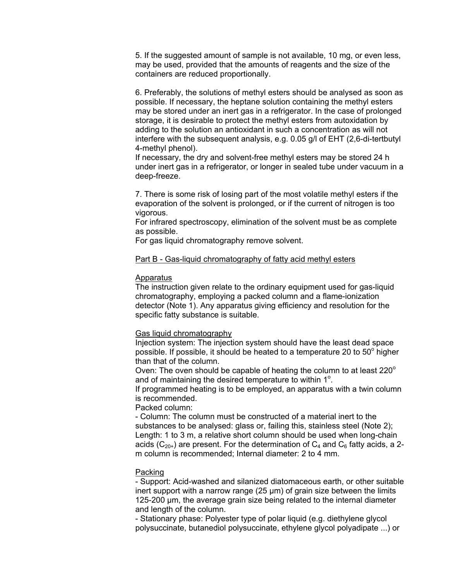5. If the suggested amount of sample is not available, 10 mg, or even less, may be used, provided that the amounts of reagents and the size of the containers are reduced proportionally.

6. Preferably, the solutions of methyl esters should be analysed as soon as possible. If necessary, the heptane solution containing the methyl esters may be stored under an inert gas in a refrigerator. In the case of prolonged storage, it is desirable to protect the methyl esters from autoxidation by adding to the solution an antioxidant in such a concentration as will not interfere with the subsequent analysis, e.g. 0.05 g/l of EHT (2,6-di-tertbutyl 4-methyl phenol).

If necessary, the dry and solvent-free methyl esters may be stored 24 h under inert gas in a refrigerator, or longer in sealed tube under vacuum in a deep-freeze.

7. There is some risk of losing part of the most volatile methyl esters if the evaporation of the solvent is prolonged, or if the current of nitrogen is too vigorous.

For infrared spectroscopy, elimination of the solvent must be as complete as possible.

For gas liquid chromatography remove solvent.

# Part B - Gas-liquid chromatography of fatty acid methyl esters

# **Apparatus**

The instruction given relate to the ordinary equipment used for gas-liquid chromatography, employing a packed column and a flame-ionization detector (Note 1). Any apparatus giving efficiency and resolution for the specific fatty substance is suitable.

# Gas liquid chromatography

Injection system: The injection system should have the least dead space possible. If possible, it should be heated to a temperature 20 to  $50^{\circ}$  higher than that of the column.

Oven: The oven should be capable of heating the column to at least  $220^\circ$ and of maintaining the desired temperature to within  $1^\circ$ .

If programmed heating is to be employed, an apparatus with a twin column is recommended.

Packed column:

- Column: The column must be constructed of a material inert to the substances to be analysed: glass or, failing this, stainless steel (Note 2); Length: 1 to 3 m, a relative short column should be used when long-chain acids ( $C_{20+}$ ) are present. For the determination of  $C_4$  and  $C_6$  fatty acids, a 2m column is recommended; Internal diameter: 2 to 4 mm.

# Packing

- Support: Acid-washed and silanized diatomaceous earth, or other suitable inert support with a narrow range  $(25 \mu m)$  of grain size between the limits 125-200 µm, the average grain size being related to the internal diameter and length of the column.

- Stationary phase: Polyester type of polar liquid (e.g. diethylene glycol polysuccinate, butanediol polysuccinate, ethylene glycol polyadipate ...) or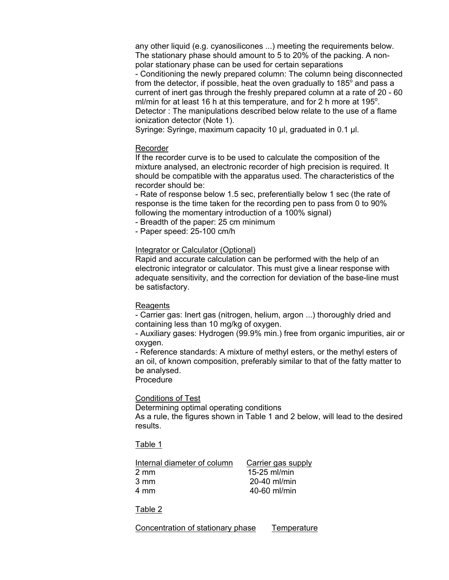any other liquid (e.g. cyanosilicones ...) meeting the requirements below. The stationary phase should amount to 5 to 20% of the packing. A nonpolar stationary phase can be used for certain separations - Conditioning the newly prepared column: The column being disconnected from the detector, if possible, heat the oven gradually to 185 $^{\circ}$  and pass a current of inert gas through the freshly prepared column at a rate of 20 - 60 ml/min for at least 16 h at this temperature, and for 2 h more at 195 $^{\circ}$ . Detector : The manipulations described below relate to the use of a flame ionization detector (Note 1).

Syringe: Syringe, maximum capacity 10 µl, graduated in 0.1 µl.

### Recorder

If the recorder curve is to be used to calculate the composition of the mixture analysed, an electronic recorder of high precision is required. It should be compatible with the apparatus used. The characteristics of the recorder should be:

- Rate of response below 1.5 sec, preferentially below 1 sec (the rate of response is the time taken for the recording pen to pass from 0 to 90% following the momentary introduction of a 100% signal)

- Breadth of the paper: 25 cm minimum

- Paper speed: 25-100 cm/h

# Integrator or Calculator (Optional)

Rapid and accurate calculation can be performed with the help of an electronic integrator or calculator. This must give a linear response with adequate sensitivity, and the correction for deviation of the base-line must be satisfactory.

#### **Reagents**

- Carrier gas: Inert gas (nitrogen, helium, argon ...) thoroughly dried and containing less than 10 mg/kg of oxygen.

- Auxiliary gases: Hydrogen (99.9% min.) free from organic impurities, air or oxygen.

- Reference standards: A mixture of methyl esters, or the methyl esters of an oil, of known composition, preferably similar to that of the fatty matter to be analysed.

Procedure

# Conditions of Test

Determining optimal operating conditions

As a rule, the figures shown in Table 1 and 2 below, will lead to the desired results.

# Table 1

| Internal diameter of column | Carrier gas supply |
|-----------------------------|--------------------|
| 2 mm                        | 15-25 ml/min       |
| 3 mm                        | $20-40$ ml/min     |
| 4 mm                        | 40-60 ml/min       |
|                             |                    |

# Table 2

Concentration of stationary phase Temperature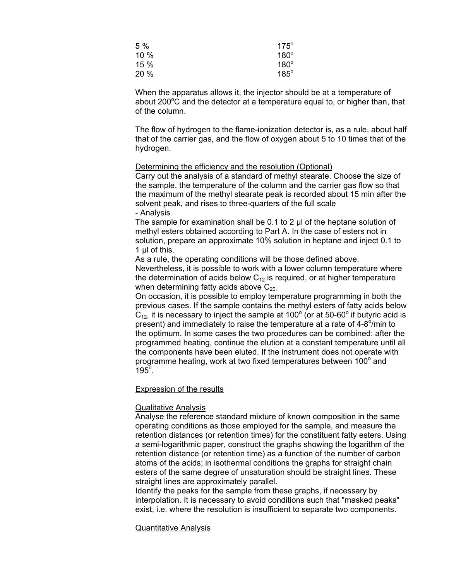| 5 %  | $175^\circ$ |
|------|-------------|
| 10%  | $180^\circ$ |
| 15 % | $180^\circ$ |
| 20%  | $185^\circ$ |

When the apparatus allows it, the injector should be at a temperature of about 200 $\mathrm{^oC}$  and the detector at a temperature equal to, or higher than, that of the column.

The flow of hydrogen to the flame-ionization detector is, as a rule, about half that of the carrier gas, and the flow of oxygen about 5 to 10 times that of the hydrogen.

### Determining the efficiency and the resolution (Optional)

Carry out the analysis of a standard of methyl stearate. Choose the size of the sample, the temperature of the column and the carrier gas flow so that the maximum of the methyl stearate peak is recorded about 15 min after the solvent peak, and rises to three-quarters of the full scale - Analysis

The sample for examination shall be 0.1 to 2 µl of the heptane solution of methyl esters obtained according to Part A. In the case of esters not in solution, prepare an approximate 10% solution in heptane and inject 0.1 to 1 µl of this.

As a rule, the operating conditions will be those defined above. Nevertheless, it is possible to work with a lower column temperature where the determination of acids below  $C_{12}$  is required, or at higher temperature when determining fatty acids above  $C_{20}$ .

On occasion, it is possible to employ temperature programming in both the previous cases. If the sample contains the methyl esters of fatty acids below  $C_{12}$ , it is necessary to inject the sample at 100 $^{\circ}$  (or at 50-60 $^{\circ}$  if butyric acid is present) and immediately to raise the temperature at a rate of 4-8 $\delta$ /min to the optimum. In some cases the two procedures can be combined: after the programmed heating, continue the elution at a constant temperature until all the components have been eluted. If the instrument does not operate with programme heating, work at two fixed temperatures between 100 $^{\circ}$  and  $195^\circ$ .

# Expression of the results

# Qualitative Analysis

Analyse the reference standard mixture of known composition in the same operating conditions as those employed for the sample, and measure the retention distances (or retention times) for the constituent fatty esters. Using a semi-logarithmic paper, construct the graphs showing the logarithm of the retention distance (or retention time) as a function of the number of carbon atoms of the acids; in isothermal conditions the graphs for straight chain esters of the same degree of unsaturation should be straight lines. These straight lines are approximately parallel.

Identify the peaks for the sample from these graphs, if necessary by interpolation. It is necessary to avoid conditions such that "masked peaks" exist, i.e. where the resolution is insufficient to separate two components.

# Quantitative Analysis